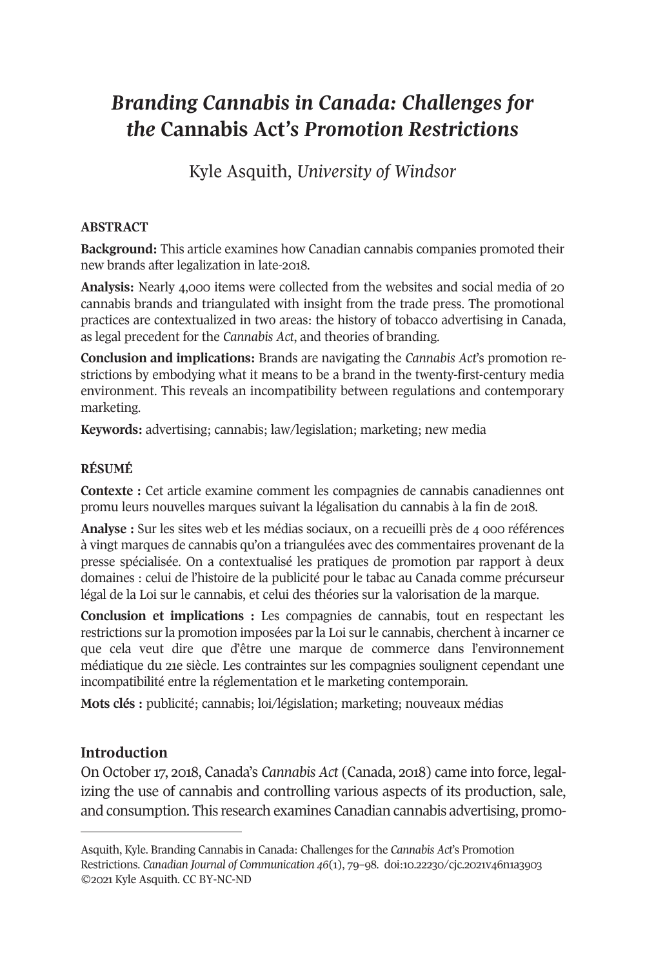# *Branding Cannabis in Canada: Challenges for the* **Cannabis Act***'s Promotion Restrictions*

Kyle Asquith, *University of Windsor* 

### **ABSTRACT**

**Background:** This article examines how Canadian cannabis companies promoted their new brands after legalization in late-2018.

**Analysis:** Nearly 4,000 items were collected from the websites and social media of 20 cannabis brands and triangulated with insight from the trade press. The promotional practices are contextualized in two areas: the history of tobacco advertising in Canada, as legal precedent for the *Cannabis Act*, and theories of branding.

**Conclusion and implications:** Brands are navigating the *Cannabis Act*'s promotion restrictions by embodying what it means to be a brand in the twenty-first-century media environment. This reveals an incompatibility between regulations and contemporary marketing.

**Keywords:** advertising; cannabis; law/legislation; marketing; new media

#### **RÉSUMÉ**

**Contexte :** Cet article examine comment les compagnies de cannabis canadiennes ont promu leurs nouvelles marques suivant la légalisation du cannabis à la fin de 2018.

**Analyse :** Sur les sites web et les médias sociaux, on a recueilli près de 4 000 références à vingt marques de cannabis qu'on a triangulées avec des commentaires provenant de la presse spécialisée. On a contextualisé les pratiques de promotion par rapport à deux domaines : celui de l'histoire de la publicité pour le tabac au Canada comme précurseur légal de la Loi sur le cannabis, et celui des théories sur la valorisation de la marque.

**Conclusion et implications :** Les compagnies de cannabis, tout en respectant les restrictions sur la promotion imposées par la Loi sur le cannabis, cherchent à incarner ce que cela [veut dire que d'être une ma](https://cjc-online.ca)rque de com[merce dans l'environnem](https://doi.org/10.22230/cjc.2021v46n1a3903)ent médiatique du 21e siècle. Les contraintes sur les compagnies soulignent cependant une incompatibilité entre la réglementation et le marketing contemporain.

**Mots clés :** publicité; cannabis; loi/législation; marketing; nouveaux médias

### **Introduction**

On October 17, 2018, Canada's *Cannabis Act* (Canada, 2018) came into force, legalizing the use of cannabis and controlling various aspects of its production, sale, and consumption. This research examines Canadian cannabis advertising, promo-

Asquith, Kyle. Branding Cannabis in Canada: Challenges for the *Cannabis Act*'s Promotion Restrictions. *Canadian Journal of Communication 46*(1), 79–98. doi:10.22230/cjc.2021v46n1a3903 ©2021 Kyle Asquith. CC BY-NC-ND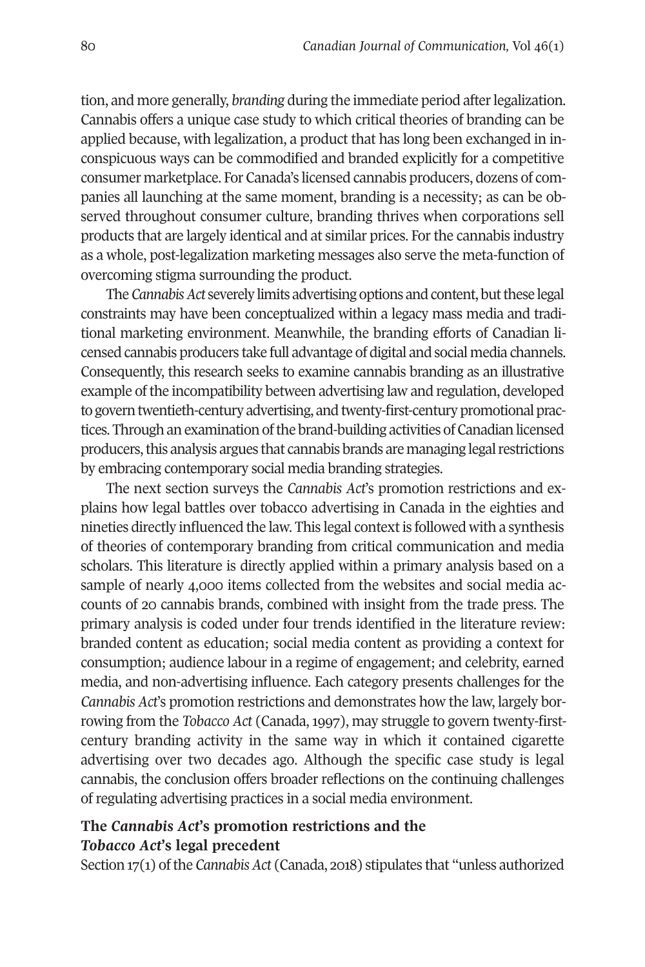tion, and more generally, *branding* during the immediate period after legalization. Cannabis offers a unique case study to which critical theories of branding can be applied because, with legalization, a product that has long been exchanged in inconspicuous ways can be commodified and branded explicitly for a competitive consumer marketplace. For Canada's licensed cannabis producers, dozens of companies all launching at the same moment, branding is a necessity; as can be observed throughout consumer culture, branding thrives when corporations sell products that are largely identical and at similar prices. For the cannabis industry as a whole, post-legalization marketing messages also serve the meta-function of overcoming stigma surrounding the product.

The *Cannabis Act* severely limits advertising options and content, but these legal constraints may have been conceptualized within a legacy mass media and traditional marketing environment. Meanwhile, the branding efforts of Canadian licensed cannabis producers take full advantage of digital and social media channels. Consequently, this research seeks to examine cannabis branding as an illustrative example of the incompatibility between advertising law and regulation, developed to govern twentieth-century advertising, and twenty-first-century promotional practices. Through an examination of the brand-building activities of Canadian licensed producers, this analysis argues that cannabis brands are managing legal restrictions by embracing contemporary social media branding strategies.

The next section surveys the *Cannabis Act*'s promotion restrictions and explains how legal battles over tobacco advertising in Canada in the eighties and nineties directly influenced the law. This legal context is followed with a synthesis of theories of contemporary branding from critical communication and media scholars. This literature is directly applied within a primary analysis based on a sample of nearly 4,000 items collected from the websites and social media accounts of 20 cannabis brands, combined with insight from the trade press. The primary analysis is coded under four trends identified in the literature review: branded content as education; social media content as providing a context for consumption; audience labour in a regime of engagement; and celebrity, earned media, and non-advertising influence. Each category presents challenges for the *Cannabis Act*'s promotion restrictions and demonstrates how the law, largely borrowing from the *Tobacco Act* (Canada, 1997), may struggle to govern twenty-firstcentury branding activity in the same way in which it contained cigarette advertising over two decades ago. Although the specific case study is legal cannabis, the conclusion offers broader reflections on the continuing challenges of regulating advertising practices in a social media environment.

## **The** *Cannabis Act***'s promotion restrictions and the**  *Tobacco Act***'s legal precedent**

Section 17(1) of the *Cannabis Act* (Canada, 2018) stipulates that "unless authorized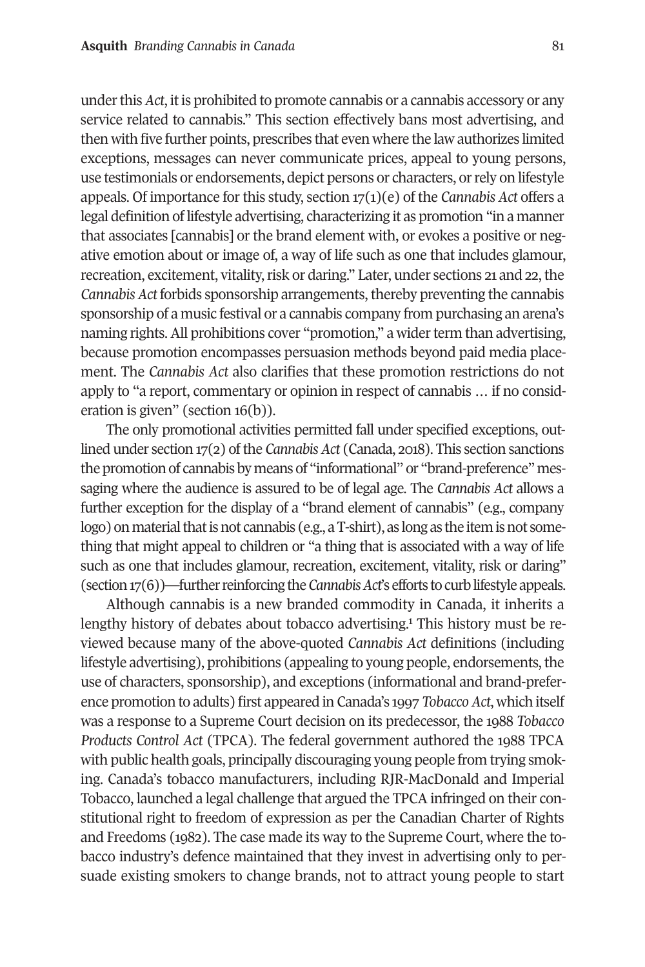#### **Asquith** *Branding Cannabis in Canada* 81

under this *Act*, it is prohibited to promote cannabis or a cannabis accessory or any service related to cannabis." This section effectively bans most advertising, and then with five further points, prescribes that even where the law authorizes limited exceptions, messages can never communicate prices, appeal to young persons, use testimonials or endorsements, depict persons or characters, or rely on lifestyle appeals. Of importance for this study, section 17(1)(e) of the *Cannabis Act* offers a legal definition of lifestyle advertising, characterizing it as promotion "in a manner that associates [cannabis] or the brand element with, or evokes a positive or negative emotion about or image of, a way of life such as one that includes glamour, recreation, excitement, vitality, risk or daring." Later, under sections 21 and 22, the *Cannabis Act* forbids sponsorship arrangements, thereby preventing the cannabis sponsorship of a music festival or a cannabis company from purchasing an arena's naming rights. All prohibitions cover "promotion," a wider term than advertising, because promotion encompasses persuasion methods beyond paid media placement. The *Cannabis Act* also clarifies that these promotion restrictions do not apply to "a report, commentary or opinion in respect [of](#page-17-0) cannabis … if no consideration is given" (section 16(b)).

The only promotional activities permitted fall under specified exceptions, outlined under section 17(2) of the *Cannabis Act* (Canada, 2018). This section sanctions the promotion of cannabis by means of "informational" or "brand-preference" messaging where the audience is assured to be of legal age. The *Cannabis Act* allows a further exception for the display of a "brand element of cannabis" (e.g., company logo) on material that is not cannabis (e.g., a T-shirt), as long as the item is not something that might appeal to children or "a thing that is associated with a way of life such as one that includes glamour, recreation, excitement, vitality, risk or daring" (section 17(6))—further reinforcing the *Cannabis Act*'s efforts to curb lifestyle appeals.

Although cannabis is a new branded commodity in Canada, it inherits a lengthy history of debates about tobacco advertising.<sup>1</sup> This history must be reviewed because many of the above-quoted *Cannabis Act* definitions (including lifestyle advertising), prohibitions (appealing to young people, endorsements, the use of characters, sponsorship), and exceptions (informational and brand-preference promotion to adults) first appeared in Canada's 1997 *Tobacco Act*, which itself was a response to a Supreme Court decision on its predecessor, the 1988 *Tobacco Products Control Act* (TPCA). The federal government authored the 1988 TPCA with public health goals, principally discouraging young people from trying smoking. Canada's tobacco manufacturers, including RJR-MacDonald and Imperial Tobacco, launched a legal challenge that argued the TPCA infringed on their constitutional right to freedom of expression as per the Canadian Charter of Rights and Freedoms (1982). The case made its way to the Supreme Court, where the tobacco industry's defence maintained that they invest in advertising only to persuade existing smokers to change brands, not to attract young people to start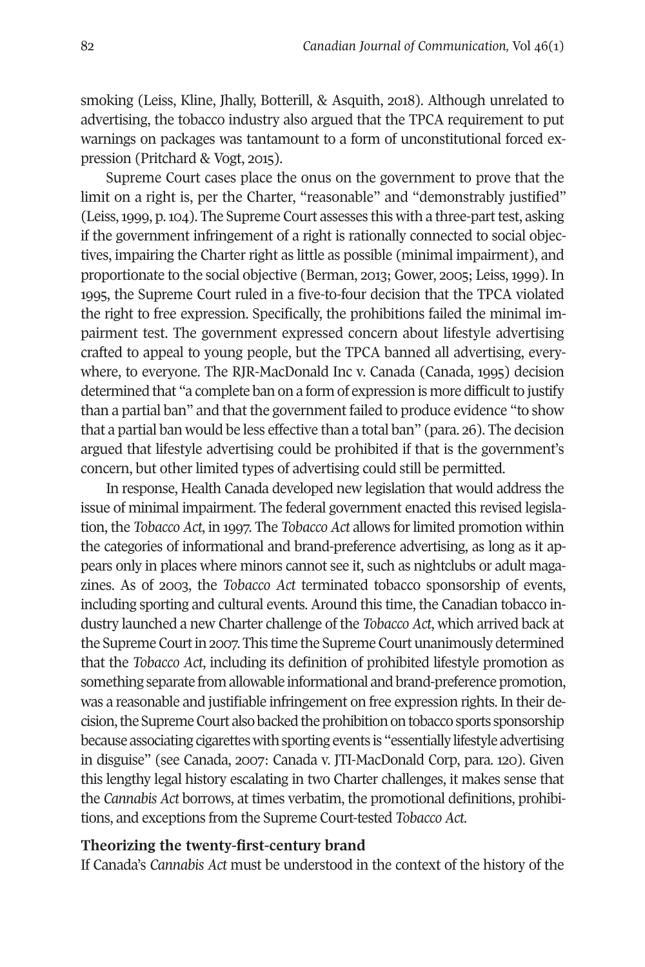smoking (Leiss, Kline, Jhally, Botterill, & Asquith, 2018). Although unrelated to advertising, the tobacco industry also argued that the TPCA requirement to put warnings on packages was tantamount to a form of unconstitutional forced expression (Pritchard & Vogt, 2015).

Supreme Court cases place the onus on the government to prove that the limit on a right is, per the Charter, "reasonable" and "demonstrably justified" (Leiss, 1999, p. 104). The Supreme Court assesses this with a three-part test, asking if the government infringement of a right is rationally connected to social objectives, impairing the Charter right as little as possible (minimal impairment), and proportionate to the social objective (Berman, 2013; Gower, 2005; Leiss, 1999). In 1995, the Supreme Court ruled in a five-to-four decision that the TPCA violated the right to free expression. Specifically, the prohibitions failed the minimal impairment test. The government expressed concern about lifestyle advertising crafted to appeal to young people, but the TPCA banned all advertising, everywhere, to everyone. The RJR-MacDonald Inc v. Canada (Canada, 1995) decision determined that "a complete ban on a form of expression is more difficult to justify than a partial ban" and that the government failed to produce evidence "to show that a partial ban would be less effective than a total ban" (para. 26). The decision argued that lifestyle advertising could be prohibited if that is the government's concern, but other limited types of advertising could still be permitted.

In response, Health Canada developed new legislation that would address the issue of minimal impairment. The federal government enacted this revised legislation, the *Tobacco Act*, in 1997. The *Tobacco Act* allows for limited promotion within the categories of informational and brand-preference advertising, as long as it appears only in places where minors cannot see it, such as nightclubs or adult magazines. As of 2003, the *Tobacco Act* terminated tobacco sponsorship of events, including sporting and cultural events. Around this time, the Canadian tobacco industry launched a new Charter challenge of the *Tobacco Act*, which arrived back at the Supreme Court in 2007. This time the Supreme Court unanimously determined that the *Tobacco Act*, including its definition of prohibited lifestyle promotion as something separate from allowable informational and brand-preference promotion, was a reasonable and justifiable infringement on free expression rights. In their decision, the Supreme Court also backed the prohibition on tobacco sports sponsorship because associating cigarettes with sporting events is "essentially lifestyle advertising in disguise" (see Canada, 2007: Canada v. JTI-MacDonald Corp, para. 120). Given this lengthy legal history escalating in two Charter challenges, it makes sense that the *Cannabis Act* borrows, at times verbatim, the promotional definitions, prohibitions, and exceptions from the Supreme Court-tested *Tobacco Act*.

#### **Theorizing the twenty-first-century brand**

If Canada's *Cannabis Act* must be understood in the context of the history of the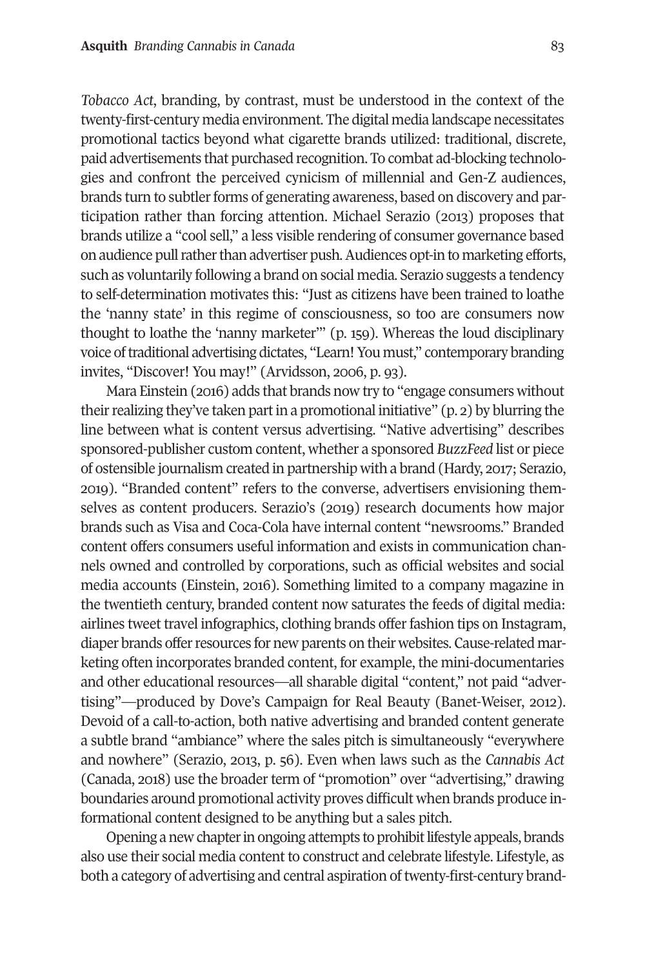*Tobacco Act*, branding, by contrast, must be understood in the context of the twenty-first-century media environment. The digital media landscape necessitates promotional tactics beyond what cigarette brands utilized: traditional, discrete, paid advertisements that purchased recognition. To combat ad-blocking technologies and confront the perceived cynicism of millennial and Gen-Z audiences, brands turn to subtler forms of generating awareness, based on discovery and participation rather than forcing attention. Michael Serazio (2013) proposes that brands utilize a "cool sell," a less visible rendering of consumer governance based on audience pull rather than advertiser push. Audiences opt-in to marketing efforts, such as voluntarily following a brand on social media. Serazio suggests a tendency to self-determination motivates this: "Just as citizens have been trained to loathe the 'nanny state' in this regime of consciousness, so too are consumers now thought to loathe the 'nanny marketer'" (p. 159). Whereas the loud disciplinary voice of traditional advertising dictates, "Learn! You must," contemporary branding invites, "Discover! You may!" (Arvidsson, 2006, p. 93).

Mara Einstein (2016) adds that brands now try to "engage consumers without their realizing they've taken part in a promotional initiative" (p. 2) by blurring the line between what is content versus advertising. "Native advertising" describes sponsored-publisher custom content, whether a sponsored *BuzzFeed* list or piece of ostensible journalism created in partnership with a brand (Hardy, 2017; Serazio, 2019). "Branded content" refers to the converse, advertisers envisioning themselves as content producers. Serazio's (2019) research documents how major brands such as Visa and Coca-Cola have internal content "newsrooms." Branded content offers consumers useful information and exists in communication channels owned and controlled by corporations, such as official websites and social media accounts (Einstein, 2016). Something limited to a company magazine in the twentieth century, branded content now saturates the feeds of digital media: airlines tweet travel infographics, clothing brands offer fashion tips on Instagram, diaper brands offer resources for new parents on their websites. Cause-related marketing often incorporates branded content, for example, the mini-documentaries and other educational resources—all sharable digital "content," not paid "advertising"—produced by Dove's Campaign for Real Beauty (Banet-Weiser, 2012). Devoid of a call-to-action, both native advertising and branded content generate a subtle brand "ambiance" where the sales pitch is simultaneously "everywhere and nowhere" (Serazio, 2013, p. 56). Even when laws such as the *Cannabis Act* (Canada, 2018) use the broader term of "promotion" over "advertising," drawing boundaries around promotional activity proves difficult when brands produce informational content designed to be anything but a sales pitch.

Opening a new chapter in ongoing attempts to prohibit lifestyle appeals, brands also use their social media content to construct and celebrate lifestyle. Lifestyle, as both a category of advertising and central aspiration of twenty-first-century brand-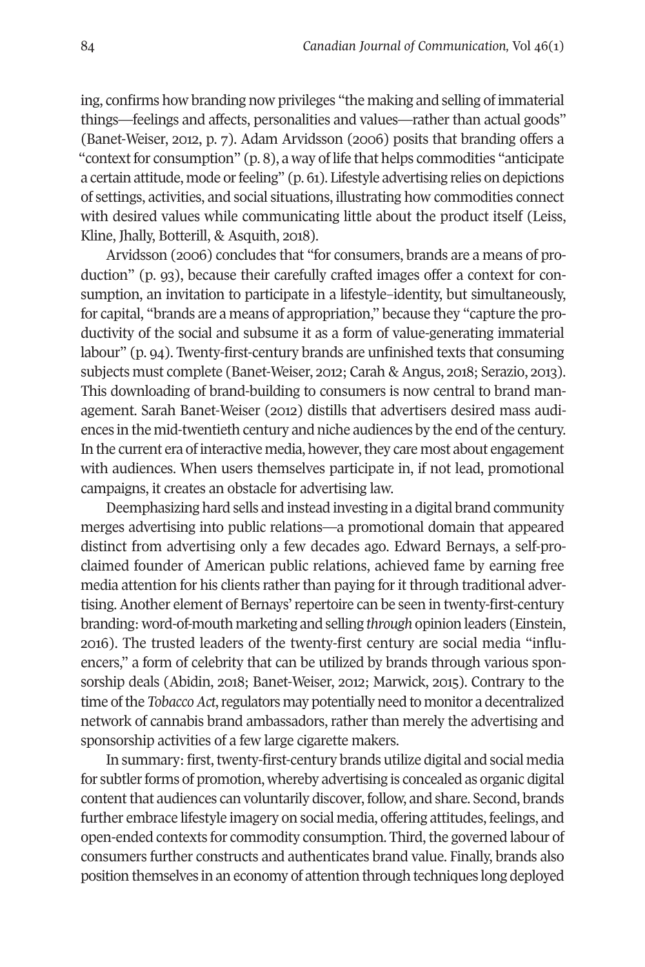ing, confirms how branding now privileges "the making and selling of immaterial things—feelings and affects, personalities and values—rather than actual goods" (Banet-Weiser, 2012, p. 7). Adam Arvidsson (2006) posits that branding offers a "context for consumption" (p. 8), a way of life that helps commodities "anticipate a certain attitude, mode or feeling" (p. 61). Lifestyle advertising relies on depictions of settings, activities, and social situations, illustrating how commodities connect with desired values while communicating little about the product itself (Leiss, Kline, Jhally, Botterill, & Asquith, 2018).

Arvidsson (2006) concludes that "for consumers, brands are a means of production" (p. 93), because their carefully crafted images offer a context for consumption, an invitation to participate in a lifestyle–identity, but simultaneously, for capital, "brands are a means of appropriation," because they "capture the productivity of the social and subsume it as a form of value-generating immaterial labour" (p. 94). Twenty-first-century brands are unfinished texts that consuming subjects must complete (Banet-Weiser, 2012; Carah & Angus, 2018; Serazio, 2013). This downloading of brand-building to consumers is now central to brand management. Sarah Banet-Weiser (2012) distills that advertisers desired mass audiences in the mid-twentieth century and niche audiences by the end of the century. In the current era of interactive media, however, they care most about engagement with audiences. When users themselves participate in, if not lead, promotional campaigns, it creates an obstacle for advertising law.

Deemphasizing hard sells and instead investing in a digital brand community merges advertising into public relations—a promotional domain that appeared distinct from advertising only a few decades ago. Edward Bernays, a self-proclaimed founder of American public relations, achieved fame by earning free media attention for his clients rather than paying for it through traditional advertising. Another element of Bernays' repertoire can be seen in twenty-first-century branding: word-of-mouth marketing and selling *through* opinion leaders (Einstein, 2016). The trusted leaders of the twenty-first century are social media "influencers," a form of celebrity that can be utilized by brands through various sponsorship deals (Abidin, 2018; Banet-Weiser, 2012; Marwick, 2015). Contrary to the time of the *Tobacco Act*, regulators may potentially need to monitor a decentralized network of cannabis brand ambassadors, rather than merely the advertising and sponsorship activities of a few large cigarette makers.

In summary: first, twenty-first-century brands utilize digital and social media for subtler forms of promotion, whereby advertising is concealed as organic digital content that audiences can voluntarily discover, follow, and share. Second, brands further embrace lifestyle imagery on social media, offering attitudes, feelings, and open-ended contexts for commodity consumption. Third, the governed labour of consumers further constructs and authenticates brand value. Finally, brands also position themselves in an economy of attention through techniques long deployed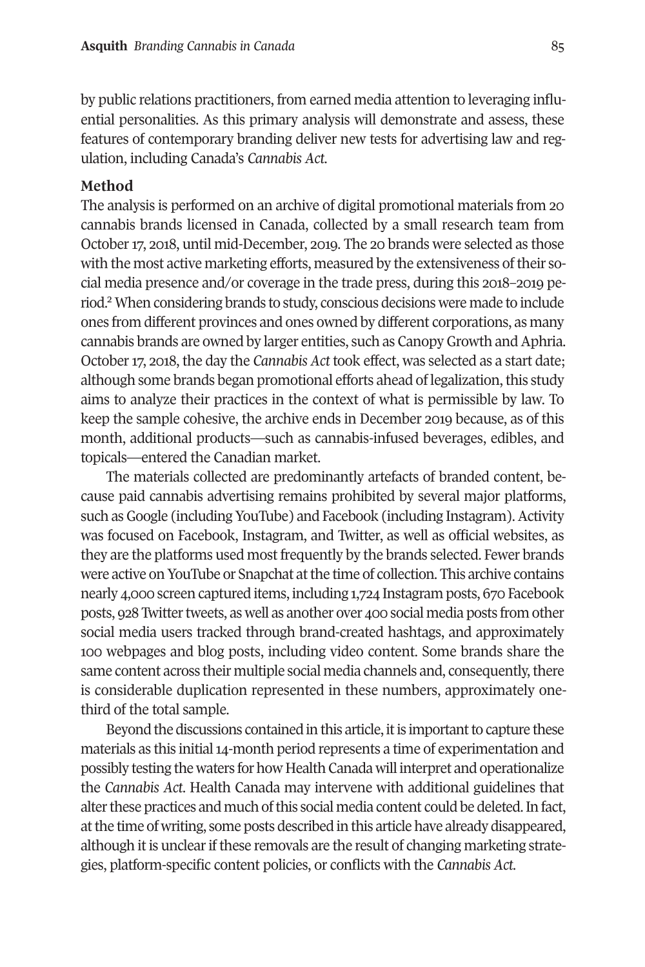#### **Asquith** *Branding Cannabis in Canada* 85

by public relations practitioners, from earned media attention to leveraging influential personalities. As this primary analysis will demonstrate and assess, these features of contemporary branding deliver new tests for advertising law and regulation, including Canada's *Cannabis Act*.

#### **Method**

The analysis is performed on an archive of digital promotional materials from 20 cannabis brands licensed in Canada, collected by a small research team from October 17, 2018, until mid-December, 2019. The 20 brands were selected as those with the most active marketing efforts, measured by the extensiveness of their social media presence and/or coverage in the trade press, during this 2018–2019 period.2 When considering brands to study, conscious decisions were made to include ones from different provinces and ones owned by different corporations, as many cannabis brands are owned by larger entities, such as Canopy Growth and Aphria. October 17, 2018, the day the *Cannabis Act* took effect, was selected as a start date; although some brands began promotional efforts ahead of legalization, this study aims to analyze their practices in the context of what is permissible by law. To keep the sample cohesive, the archive ends in December 2019 because, as of this month, additional products—such as cannabis-infused beverages, edibles, and topicals—entered the Canadian market.

The materials collected are predominantly artefacts of branded content, because paid cannabis advertising remains prohibited by several major platforms, such as Google (including YouTube) and Facebook (including Instagram). Activity was focused on Facebook, Instagram, and Twitter, as well as official websites, as they are the platforms used most frequently by the brands selected. Fewer brands were active on YouTube or Snapchat at the time of collection. This archive contains nearly 4,000 screen captured items, including 1,724 Instagram posts, 670 Facebook posts, 928 Twitter tweets, as well as another over 400 social media posts from other social media users tracked through brand-created hashtags, and approximately 100 webpages and blog posts, including video content. Some brands share the same content across their multiple social media channels and, consequently, there is considerable duplication represented in these numbers, approximately onethird of the total sample.

Beyond the discussions contained in this article, it is important to capture these materials as this initial 14-month period represents a time of experimentation and possibly testing the waters for how Health Canada will interpret and operationalize the *Cannabis Act*. Health Canada may intervene with additional guidelines that alter these practices and much of this social media content could be deleted. In fact, at the time of writing, some posts described in this article have already disappeared, although it is unclear if these removals are the result of changing marketing strategies, platform-specific content policies, or conflicts with the *Cannabis Act*.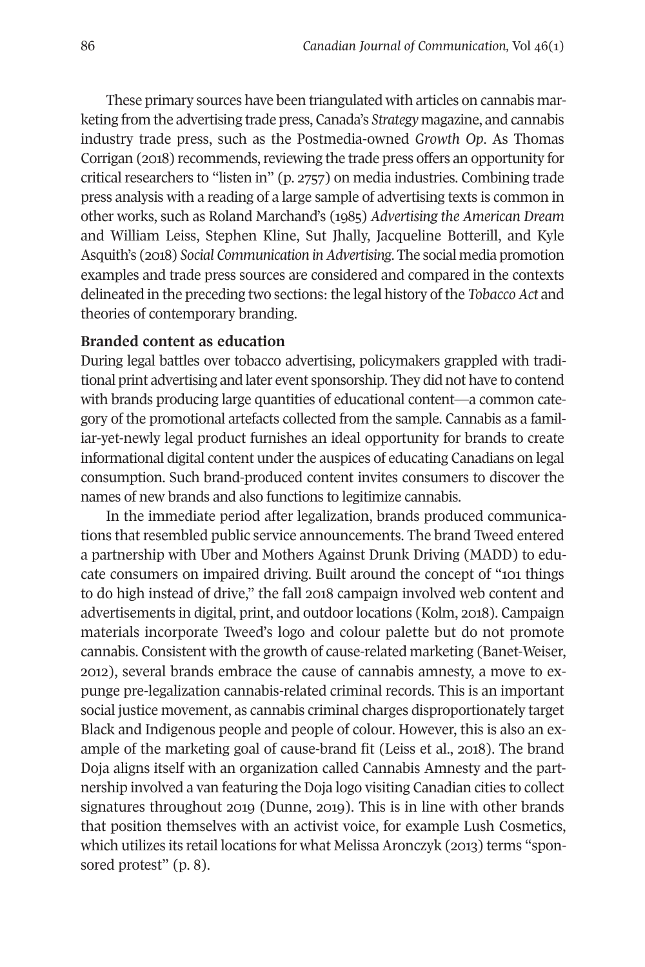These primary sources have been triangulated with articles on cannabis marketing from the advertising trade press, Canada's *Strategy* magazine, and cannabis industry trade press, such as the Postmedia-owned *Growth Op*. As Thomas Corrigan (2018) recommends, reviewing the trade press offers an opportunity for critical researchers to "listen in" (p. 2757) on media industries. Combining trade press analysis with a reading of a large sample of advertising texts is common in other works, such as Roland Marchand's (1985) *Advertising the American Dream*  and William Leiss, Stephen Kline, Sut Jhally, Jacqueline Botterill, and Kyle Asquith's (2018) *Social Communication in Advertising*. The social media promotion examples and trade press sources are considered and compared in the contexts delineated in the preceding two sections: the legal history of the *Tobacco Act* and theories of contemporary branding.

#### **Branded content as education**

During legal battles over tobacco advertising, policymakers grappled with traditional print advertising and later event sponsorship. They did not have to contend with brands producing large quantities of educational content—a common category of the promotional artefacts collected from the sample. Cannabis as a familiar-yet-newly legal product furnishes an ideal opportunity for brands to create informational digital content under the auspices of educating Canadians on legal consumption. Such brand-produced content invites consumers to discover the names of new brands and also functions to legitimize cannabis.

In the immediate period after legalization, brands produced communications that resembled public service announcements. The brand Tweed entered a partnership with Uber and Mothers Against Drunk Driving (MADD) to educate consumers on impaired driving. Built around the concept of "101 things to do high instead of drive," the fall 2018 campaign involved web content and advertisements in digital, print, and outdoor locations (Kolm, 2018). Campaign materials incorporate Tweed's logo and colour palette but do not promote cannabis. Consistent with the growth of cause-related marketing (Banet-Weiser, 2012), several brands embrace the cause of cannabis amnesty, a move to expunge pre-legalization cannabis-related criminal records. This is an important social justice movement, as cannabis criminal charges disproportionately target Black and Indigenous people and people of colour. However, this is also an example of the marketing goal of cause-brand fit (Leiss et al., 2018). The brand Doja aligns itself with an organization called Cannabis Amnesty and the partnership involved a van featuring the Doja logo visiting Canadian cities to collect signatures throughout 2019 (Dunne, 2019). This is in line with other brands that position themselves with an activist voice, for example Lush Cosmetics, which utilizes its retail locations for what Melissa Aronczyk (2013) terms "sponsored protest" (p. 8).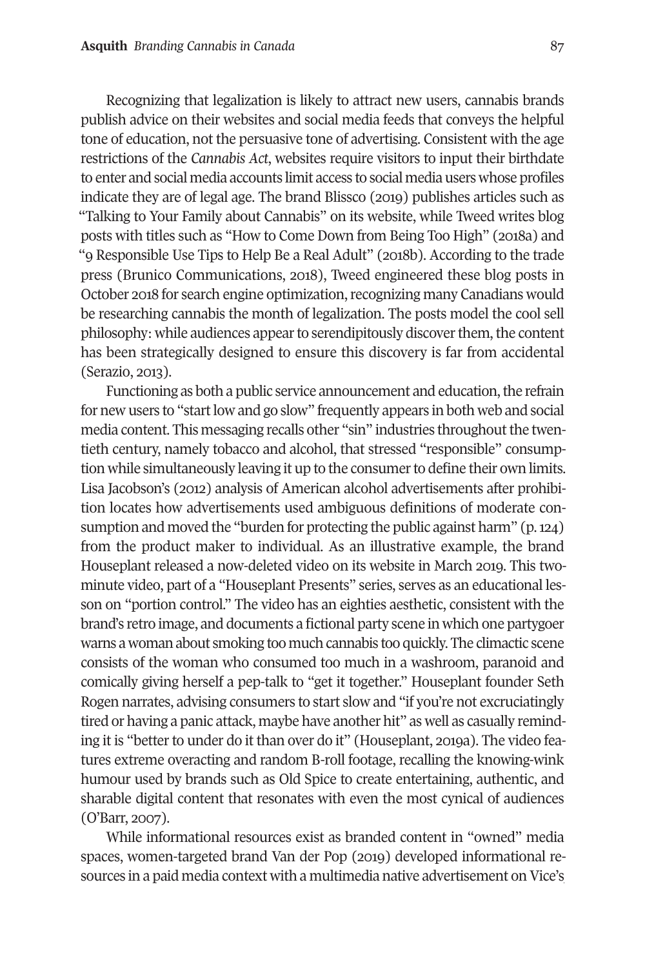Recognizing that legalization is likely to attract new users, cannabis brands publish advice on their websites and social media feeds that conveys the helpful tone of education, not the persuasive tone of advertising. Consistent with the age restrictions of the *Cannabis Act*, websites require visitors to input their birthdate to enter and social media accounts limit access to social media users whose profiles indicate they are of legal age. The brand Blissco (2019) publishes articles such as "Talking to Your Family about Cannabis" on its website, while Tweed writes blog posts with titles such as "How to Come Down from Being Too High" (2018a) and "9 Responsible Use Tips to Help Be a Real Adult" (2018b). According to the trade press (Brunico Communications, 2018), Tweed engineered these blog posts in October 2018 for search engine optimization, recognizing many Canadians would be researching cannabis the month of legalization. The posts model the cool sell philosophy: while audiences appear to serendipitously discover them, the content has been strategically designed to ensure this discovery is far from accidental (Serazio, 2013).

Functioning as both a public service announcement and education, the refrain for new users to "start low and go slow" frequently appears in both web and social media content. This messaging recalls other "sin" industries throughout the twentieth century, namely tobacco and alcohol, that stressed "responsible" consumption while simultaneously leaving it up to the consumer to define their own limits. Lisa Jacobson's (2012) analysis of American alcohol advertisements after prohibition locates how advertisements used ambiguous definitions of moderate consumption and moved the "burden for protecting the public against harm" (p. 124) from the product maker to individual. As an illustrative example, the brand Houseplant released a now-deleted video on its website in March 2019. This twominute video, part of a "Houseplant Presents" series, serves as an educational lesson on "portion control." The video has an eighties aesthetic, consistent with the brand's retro image, and documents a fictional party scene in which one partygoer warns a woman about smoking too much cannabis too quickly. The climactic scene consists of the woman who consumed too much in a washroom, paranoid and comically giving herself a pep-talk to "get it together." Houseplant founder Seth Rogen narrates, advising consumers to start slow and "if you're not excruciatingly tired or having a panic attack, maybe have another hit" as well as casually reminding it is "better to under do it than over do it" (Houseplant, 2019a). The video features extreme overacting and random B-roll footage, recalling the knowing-wink humour used by brands such as Old Spice to create entertaining, authentic, and sharable digital content that resonates with even the most cynical of audiences (O'Barr, 2007).

While informational resources exist as branded content in "owned" media spaces, women-targeted brand Van der Pop (2019) developed informational resources in a paid media context with a multimedia native advertisement on Vice's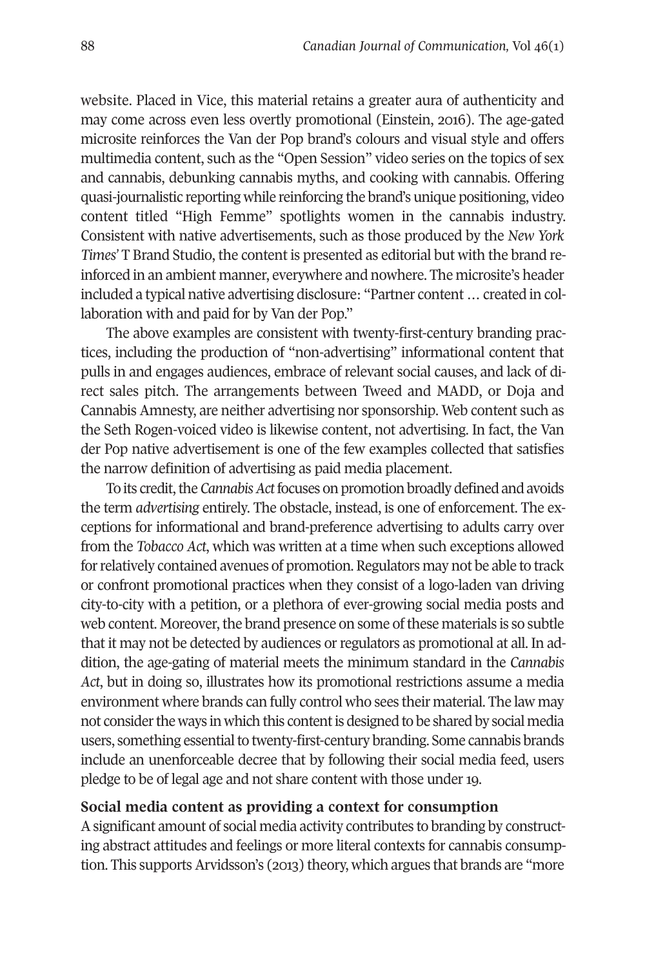website. Placed in Vice, this material retains a greater aura of authenticity and may come across even less overtly promotional (Einstein, 2016). The age-gated microsite reinforces the Van der Pop brand's colours and visual style and offers multimedia content, such as the "Open Session" video series on the topics of sex and cannabis, debunking cannabis myths, and cooking with cannabis. Offering quasi-journalistic reporting while reinforcing the brand's unique positioning, video content titled "High Femme" spotlights women in the cannabis industry. Consistent with native advertisements, such as those produced by the *New York Times'* T Brand Studio, the content is presented as editorial but with the brand reinforced in an ambient manner, everywhere and nowhere. The microsite's header included a typical native advertising disclosure: "Partner content … created in collaboration with and paid for by Van der Pop."

The above examples are consistent with twenty-first-century branding practices, including the production of "non-advertising" informational content that pulls in and engages audiences, embrace of relevant social causes, and lack of direct sales pitch. The arrangements between Tweed and MADD, or Doja and Cannabis Amnesty, are neither advertising nor sponsorship. Web content such as the Seth Rogen-voiced video is likewise content, not advertising. In fact, the Van der Pop native advertisement is one of the few examples collected that satisfies the narrow definition of advertising as paid media placement.

To its credit, the *Cannabis Act* focuses on promotion broadly defined and avoids the term *advertising* entirely. The obstacle, instead, is one of enforcement. The exceptions for informational and brand-preference advertising to adults carry over from the *Tobacco Act*, which was written at a time when such exceptions allowed for relatively contained avenues of promotion. Regulators may not be able to track or confront promotional practices when they consist of a logo-laden van driving city-to-city with a petition, or a plethora of ever-growing social media posts and web content. Moreover, the brand presence on some of these materials is so subtle that it may not be detected by audiences or regulators as promotional at all. In addition, the age-gating of material meets the minimum standard in the *Cannabis Act*, but in doing so, illustrates how its promotional restrictions assume a media environment where brands can fully control who sees their material. The law may not consider the ways in which this content is designed to be shared by social media users, something essential to twenty-first-century branding. Some cannabis brands include an unenforceable decree that by following their social media feed, users pledge to be of legal age and not share content with those under 19.

#### **Social media content as providing a context for consumption**

A significant amount of social media activity contributes to branding by constructing abstract attitudes and feelings or more literal contexts for cannabis consumption. This supports Arvidsson's (2013) theory, which argues that brands are "more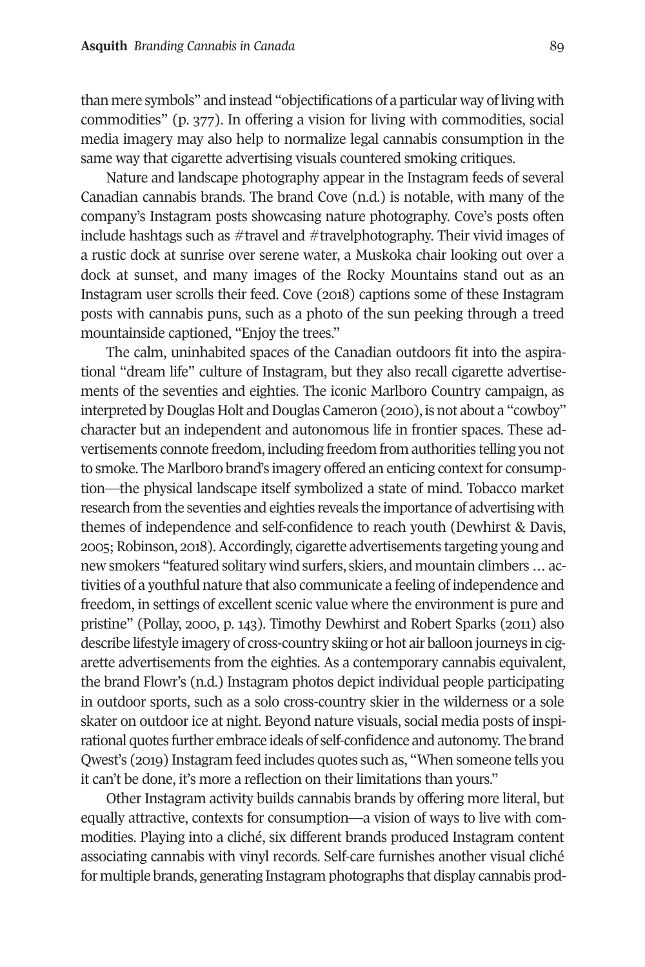than mere symbols" and instead "objectifications of a particular way of living with commodities" (p. 377). In offering a vision for living with commodities, social media imagery may also help to normalize legal cannabis consumption in the same way that cigarette advertising visuals countered smoking critiques.

Nature and landscape photography appear in the Instagram feeds of several Canadian cannabis brands. The brand Cove (n.d.) is notable, with many of the company's Instagram posts showcasing nature photography. Cove's posts often include hashtags such as #travel and #travelphotography. Their vivid images of a rustic dock at sunrise over serene water, a Muskoka chair looking out over a dock at sunset, and many images of the Rocky Mountains stand out as an Instagram user scrolls their feed. Cove (2018) captions some of these Instagram posts with cannabis puns, such as a photo of the sun peeking through a treed mountainside captioned, "Enjoy the trees."

The calm, uninhabited spaces of the Canadian outdoors fit into the aspirational "dream life" culture of Instagram, but they also recall cigarette advertisements of the seventies and eighties. The iconic Marlboro Country campaign, as interpreted by Douglas Holt and Douglas Cameron (2010), is not about a "cowboy" character but an independent and autonomous life in frontier spaces. These advertisements connote freedom, including freedom from authorities telling you not to smoke. The Marlboro brand's imagery offered an enticing context for consumption—the physical landscape itself symbolized a state of mind. Tobacco market research from the seventies and eighties reveals the importance of advertising with themes of independence and self-confidence to reach youth (Dewhirst & Davis, 2005; Robinson, 2018). Accordingly, cigarette advertisements targeting young and new smokers "featured solitary wind surfers, skiers, and mountain climbers … activities of a youthful nature that also communicate a feeling of independence and freedom, in settings of excellent scenic value where the environment is pure and pristine" (Pollay, 2000, p. 143). Timothy Dewhirst and Robert Sparks (2011) also describe lifestyle imagery of cross-country skiing or hot air balloon journeys in cigarette advertisements from the eighties. As a contemporary cannabis equivalent, the brand Flowr's (n.d.) Instagram photos depict individual people participating in outdoor sports, such as a solo cross-country skier in the wilderness or a sole skater on outdoor ice at night. Beyond nature visuals, social media posts of inspirational quotes further embrace ideals of self-confidence and autonomy. The brand Qwest's (2019) Instagram feed includes quotes such as, "When someone tells you it can't be done, it's more a reflection on their limitations than yours."

Other Instagram activity builds cannabis brands by offering more literal, but equally attractive, contexts for consumption—a vision of ways to live with commodities. Playing into a cliché, six different brands produced Instagram content associating cannabis with vinyl records. Self-care furnishes another visual cliché for multiple brands, generating Instagram photographs that display cannabis prod-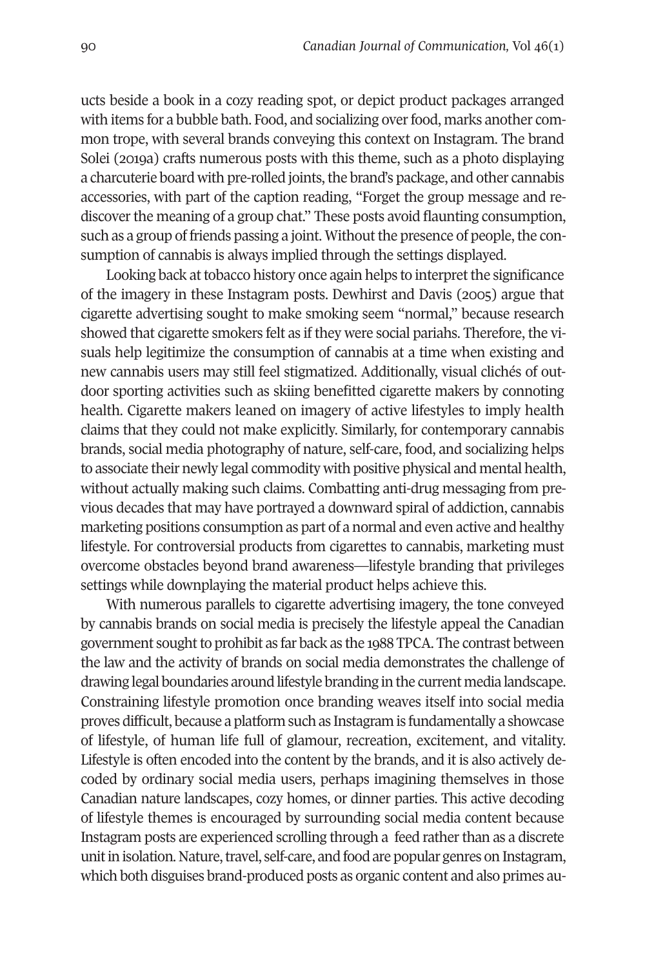ucts beside a book in a cozy reading spot, or depict product packages arranged with items for a bubble bath. Food, and socializing over food, marks another common trope, with several brands conveying this context on Instagram. The brand Solei (2019a) crafts numerous posts with this theme, such as a photo displaying a charcuterie board with pre-rolled joints, the brand's package, and other cannabis accessories, with part of the caption reading, "Forget the group message and rediscover the meaning of a group chat." These posts avoid flaunting consumption, such as a group of friends passing a joint. Without the presence of people, the consumption of cannabis is always implied through the settings displayed.

Looking back at tobacco history once again helps to interpret the significance of the imagery in these Instagram posts. Dewhirst and Davis (2005) argue that cigarette advertising sought to make smoking seem "normal," because research showed that cigarette smokers felt as if they were social pariahs. Therefore, the visuals help legitimize the consumption of cannabis at a time when existing and new cannabis users may still feel stigmatized. Additionally, visual clichés of outdoor sporting activities such as skiing benefitted cigarette makers by connoting health. Cigarette makers leaned on imagery of active lifestyles to imply health claims that they could not make explicitly. Similarly, for contemporary cannabis brands, social media photography of nature, self-care, food, and socializing helps to associate their newly legal commodity with positive physical and mental health, without actually making such claims. Combatting anti-drug messaging from previous decades that may have portrayed a downward spiral of addiction, cannabis marketing positions consumption as part of a normal and even active and healthy lifestyle. For controversial products from cigarettes to cannabis, marketing must overcome obstacles beyond brand awareness—lifestyle branding that privileges settings while downplaying the material product helps achieve this.

With numerous parallels to cigarette advertising imagery, the tone conveyed by cannabis brands on social media is precisely the lifestyle appeal the Canadian government sought to prohibit as far back as the 1988 TPCA. The contrast between the law and the activity of brands on social media demonstrates the challenge of drawing legal boundaries around lifestyle branding in the current media landscape. Constraining lifestyle promotion once branding weaves itself into social media proves difficult, because a platform such as Instagram is fundamentally a showcase of lifestyle, of human life full of glamour, recreation, excitement, and vitality. Lifestyle is often encoded into the content by the brands, and it is also actively decoded by ordinary social media users, perhaps imagining themselves in those Canadian nature landscapes, cozy homes, or dinner parties. This active decoding of lifestyle themes is encouraged by surrounding social media content because Instagram posts are experienced scrolling through a feed rather than as a discrete unit in isolation. Nature, travel, self-care, and food are popular genres on Instagram, which both disguises brand-produced posts as organic content and also primes au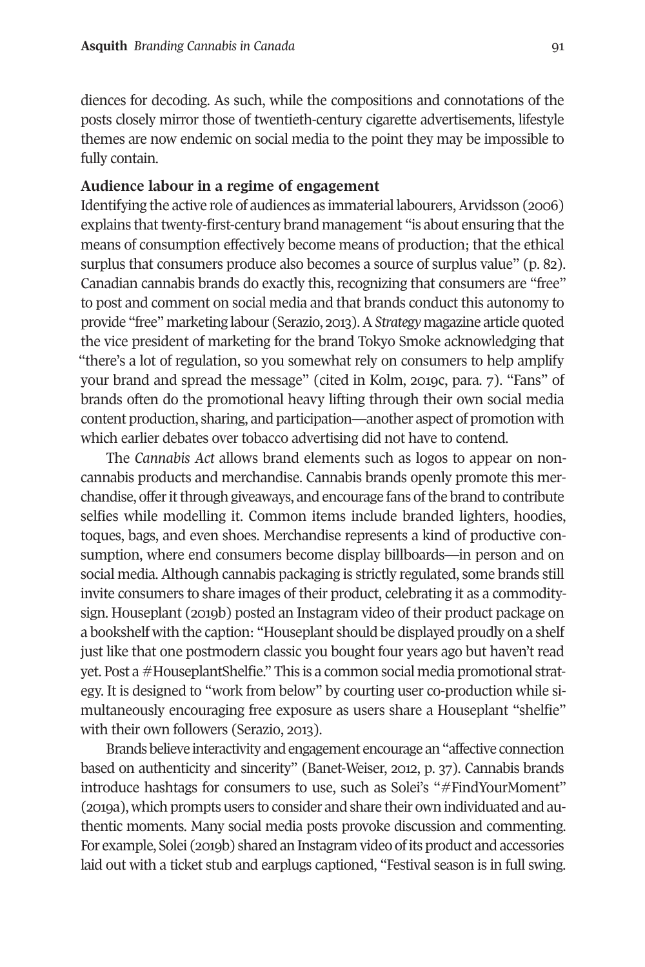diences for decoding. As such, while the compositions and connotations of the posts closely mirror those of twentieth-century cigarette advertisements, lifestyle themes are now endemic on social media to the point they may be impossible to fully contain.

#### **Audience labour in a regime of engagement**

Identifying the active role of audiences as immaterial labourers, Arvidsson (2006) explains that twenty-first-century brand management "is about ensuring that the means of consumption effectively become means of production; that the ethical surplus that consumers produce also becomes a source of surplus value" (p. 82). Canadian cannabis brands do exactly this, recognizing that consumers are "free" to post and comment on social media and that brands conduct this autonomy to provide "free" marketing labour (Serazio, 2013). A *Strategy* magazine article quoted the vice president of marketing for the brand Tokyo Smoke acknowledging that "there's a lot of regulation, so you somewhat rely on consumers to help amplify your brand and spread the message" (cited in Kolm, 2019c, para. 7). "Fans" of brands often do the promotional heavy lifting through their own social media content production, sharing, and participation—another aspect of promotion with which earlier debates over tobacco advertising did not have to contend.

The *Cannabis Act* allows brand elements such as logos to appear on noncannabis products and merchandise. Cannabis brands openly promote this merchandise, offer it through giveaways, and encourage fans of the brand to contribute selfies while modelling it. Common items include branded lighters, hoodies, toques, bags, and even shoes. Merchandise represents a kind of productive consumption, where end consumers become display billboards—in person and on social media. Although cannabis packaging is strictly regulated, some brands still invite consumers to share images of their product, celebrating it as a commoditysign. Houseplant (2019b) posted an Instagram video of their product package on a bookshelf with the caption: "Houseplant should be displayed proudly on a shelf just like that one postmodern classic you bought four years ago but haven't read yet. Post a #HouseplantShelfie." This is a common social media promotional strategy. It is designed to "work from below" by courting user co-production while simultaneously encouraging free exposure as users share a Houseplant "shelfie" with their own followers (Serazio, 2013).

Brands believe interactivity and engagement encourage an "affective connection based on authenticity and sincerity" (Banet-Weiser, 2012, p. 37). Cannabis brands introduce hashtags for consumers to use, such as Solei's "#FindYourMoment" (2019a), which prompts users to consider and share their own individuated and authentic moments. Many social media posts provoke discussion and commenting. For example, Solei (2019b) shared an Instagram video of its product and accessories laid out with a ticket stub and earplugs captioned, "Festival season is in full swing.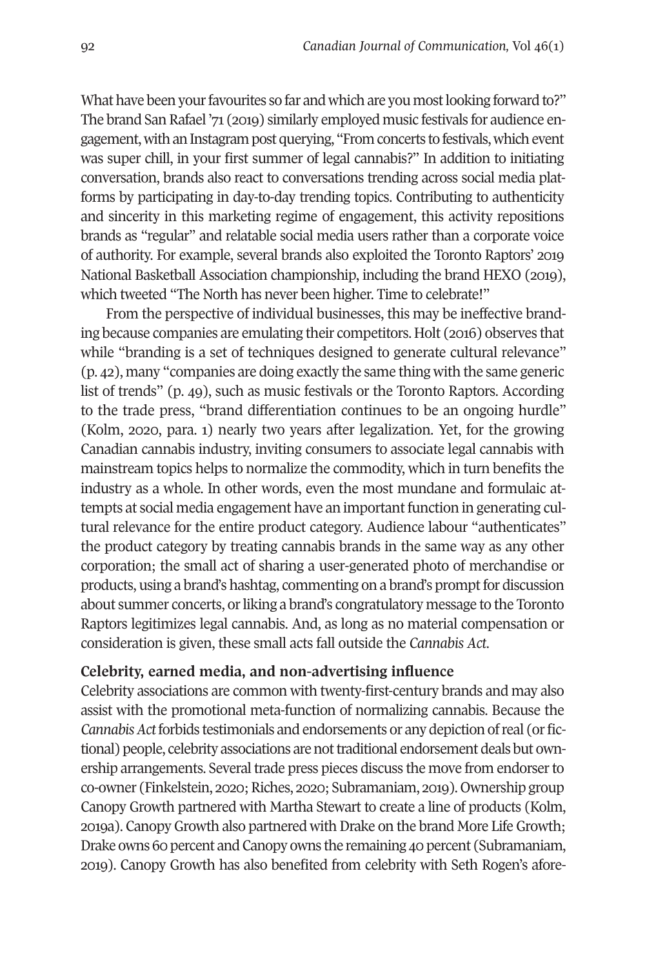What have been your favourites so far and which are you most looking forward to?" The brand San Rafael '71 (2019) similarly employed music festivals for audience engagement, with an Instagram post querying, "From concerts to festivals, which event was super chill, in your first summer of legal cannabis?" In addition to initiating conversation, brands also react to conversations trending across social media platforms by participating in day-to-day trending topics. Contributing to authenticity and sincerity in this marketing regime of engagement, this activity repositions brands as "regular" and relatable social media users rather than a corporate voice of authority. For example, several brands also exploited the Toronto Raptors' 2019 National Basketball Association championship, including the brand HEXO (2019), which tweeted "The North has never been higher. Time to celebrate!"

From the perspective of individual businesses, this may be ineffective branding because companies are emulating their competitors. Holt (2016) observes that while "branding is a set of techniques designed to generate cultural relevance" (p. 42), many "companies are doing exactly the same thing with the same generic list of trends" (p. 49), such as music festivals or the Toronto Raptors. According to the trade press, "brand differentiation continues to be an ongoing hurdle" (Kolm, 2020, para. 1) nearly two years after legalization. Yet, for the growing Canadian cannabis industry, inviting consumers to associate legal cannabis with mainstream topics helps to normalize the commodity, which in turn benefits the industry as a whole. In other words, even the most mundane and formulaic attempts at social media engagement have an important function in generating cultural relevance for the entire product category. Audience labour "authenticates" the product category by treating cannabis brands in the same way as any other corporation; the small act of sharing a user-generated photo of merchandise or products, using a brand's hashtag, commenting on a brand's prompt for discussion about summer concerts, or liking a brand's congratulatory message to the Toronto Raptors legitimizes legal cannabis. And, as long as no material compensation or consideration is given, these small acts fall outside the *Cannabis Act*.

#### **Celebrity, earned media, and non-advertising influence**

Celebrity associations are common with twenty-first-century brands and may also assist with the promotional meta-function of normalizing cannabis. Because the *Cannabis Act* forbids testimonials and endorsements or any depiction of real (or fictional) people, celebrity associations are not traditional endorsement deals but ownership arrangements. Several trade press pieces discuss the move from endorser to co-owner (Finkelstein, 2020; Riches, 2020; Subramaniam, 2019). Ownership group Canopy Growth partnered with Martha Stewart to create a line of products (Kolm, 2019a). Canopy Growth also partnered with Drake on the brand More Life Growth; Drake owns 60 percent and Canopy owns the remaining 40 percent (Subramaniam, 2019). Canopy Growth has also benefited from celebrity with Seth Rogen's afore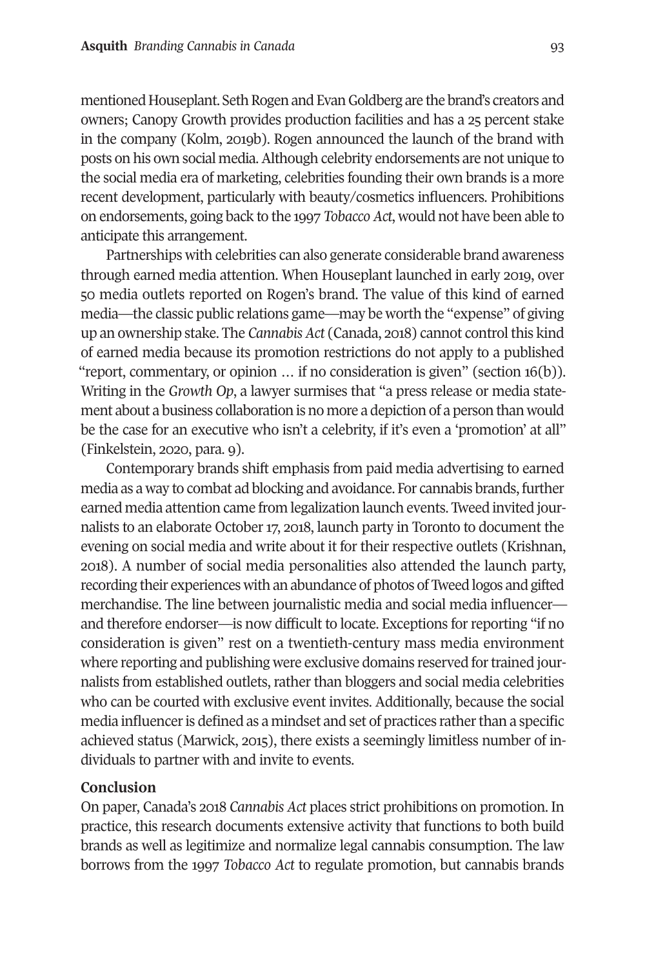mentioned Houseplant. Seth Rogen and Evan Goldberg are the brand's creators and owners; Canopy Growth provides production facilities and has a 25 percent stake in the company (Kolm, 2019b). Rogen announced the launch of the brand with posts on his own social media. Although celebrity endorsements are not unique to the social media era of marketing, celebrities founding their own brands is a more recent development, particularly with beauty/cosmetics influencers. Prohibitions on endorsements, going back to the 1997 *Tobacco Act*, would not have been able to anticipate this arrangement.

Partnerships with celebrities can also generate considerable brand awareness through earned media attention. When Houseplant launched in early 2019, over 50 media outlets reported on Rogen's brand. The value of this kind of earned media—the classic public relations game—may be worth the "expense" of giving up an ownership stake. The *Cannabis Act* (Canada, 2018) cannot control this kind of earned media because its promotion restrictions do not apply to a published "report, commentary, or opinion … if no consideration is given" (section 16(b)). Writing in the *Growth Op*, a lawyer surmises that "a press release or media statement about a business collaboration is no more a depiction of a person than would be the case for an executive who isn't a celebrity, if it's even a 'promotion' at all" (Finkelstein, 2020, para. 9).

Contemporary brands shift emphasis from paid media advertising to earned media as a way to combat ad blocking and avoidance. For cannabis brands, further earned media attention came from legalization launch events. Tweed invited journalists to an elaborate October 17, 2018, launch party in Toronto to document the evening on social media and write about it for their respective outlets (Krishnan, 2018). A number of social media personalities also attended the launch party, recording their experiences with an abundance of photos of Tweed logos and gifted merchandise. The line between journalistic media and social media influencer and therefore endorser—is now difficult to locate. Exceptions for reporting "if no consideration is given" rest on a twentieth-century mass media environment where reporting and publishing were exclusive domains reserved for trained journalists from established outlets, rather than bloggers and social media celebrities who can be courted with exclusive event invites. Additionally, because the social media influencer is defined as a mindset and set of practices rather than a specific achieved status (Marwick, 2015), there exists a seemingly limitless number of individuals to partner with and invite to events.

#### **Conclusion**

On paper, Canada's 2018 *Cannabis Act* places strict prohibitions on promotion. In practice, this research documents extensive activity that functions to both build brands as well as legitimize and normalize legal cannabis consumption. The law borrows from the 1997 *Tobacco Act* to regulate promotion, but cannabis brands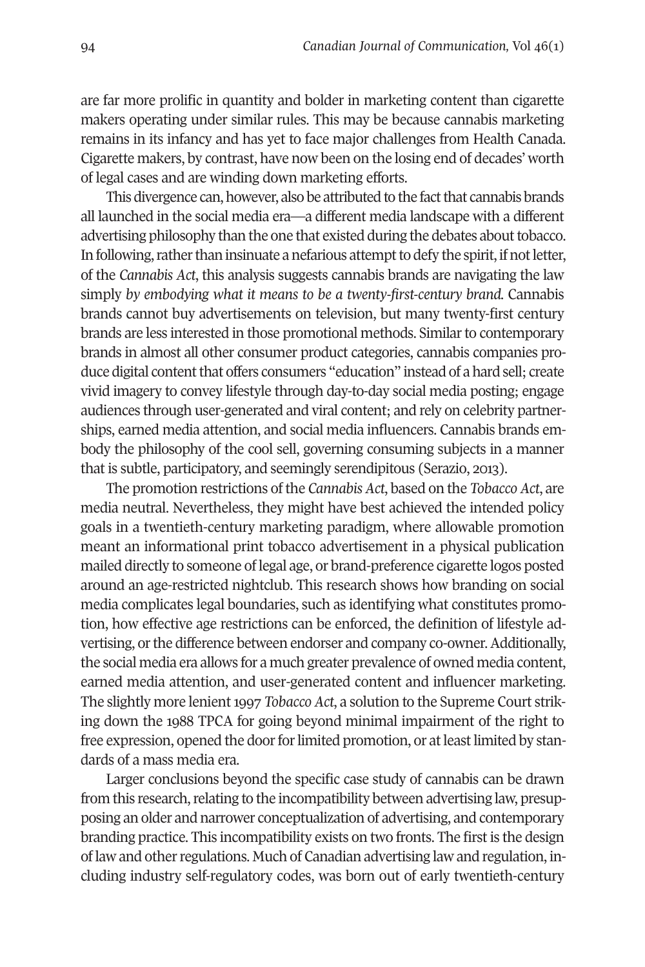are far more prolific in quantity and bolder in marketing content than cigarette makers operating under similar rules. This may be because cannabis marketing remains in its infancy and has yet to face major challenges from Health Canada. Cigarette makers, by contrast, have now been on the losing end of decades' worth of legal cases and are winding down marketing efforts.

This divergence can, however, also be attributed to the fact that cannabis brands all launched in the social media era—a different media landscape with a different advertising philosophy than the one that existed during the debates about tobacco. In following, rather than insinuate a nefarious attempt to defy the spirit, if not letter, of the *Cannabis Act*, this analysis suggests cannabis brands are navigating the law simply *by embodying what it means to be a twenty-first-century brand.* Cannabis brands cannot buy advertisements on television, but many twenty-first century brands are less interested in those promotional methods. Similar to contemporary brands in almost all other consumer product categories, cannabis companies produce digital content that offers consumers "education" instead of a hard sell; create vivid imagery to convey lifestyle through day-to-day social media posting; engage audiences through user-generated and viral content; and rely on celebrity partnerships, earned media attention, and social media influencers. Cannabis brands embody the philosophy of the cool sell, governing consuming subjects in a manner that is subtle, participatory, and seemingly serendipitous (Serazio, 2013).

The promotion restrictions of the *Cannabis Act*, based on the *Tobacco Act*, are media neutral. Nevertheless, they might have best achieved the intended policy goals in a twentieth-century marketing paradigm, where allowable promotion meant an informational print tobacco advertisement in a physical publication mailed directly to someone of legal age, or brand-preference cigarette logos posted around an age-restricted nightclub. This research shows how branding on social media complicates legal boundaries, such as identifying what constitutes promotion, how effective age restrictions can be enforced, the definition of lifestyle advertising, or the difference between endorser and company co-owner. Additionally, the social media era allows for a much greater prevalence of owned media content, earned media attention, and user-generated content and influencer marketing. The slightly more lenient 1997 *Tobacco Act*, a solution to the Supreme Court striking down the 1988 TPCA for going beyond minimal impairment of the right to free expression, opened the door for limited promotion, or at least limited by standards of a mass media era.

Larger conclusions beyond the specific case study of cannabis can be drawn from this research, relating to the incompatibility between advertising law, presupposing an older and narrower conceptualization of advertising, and contemporary branding practice. This incompatibility exists on two fronts. The first is the design of law and other regulations. Much of Canadian advertising law and regulation, including industry self-regulatory codes, was born out of early twentieth-century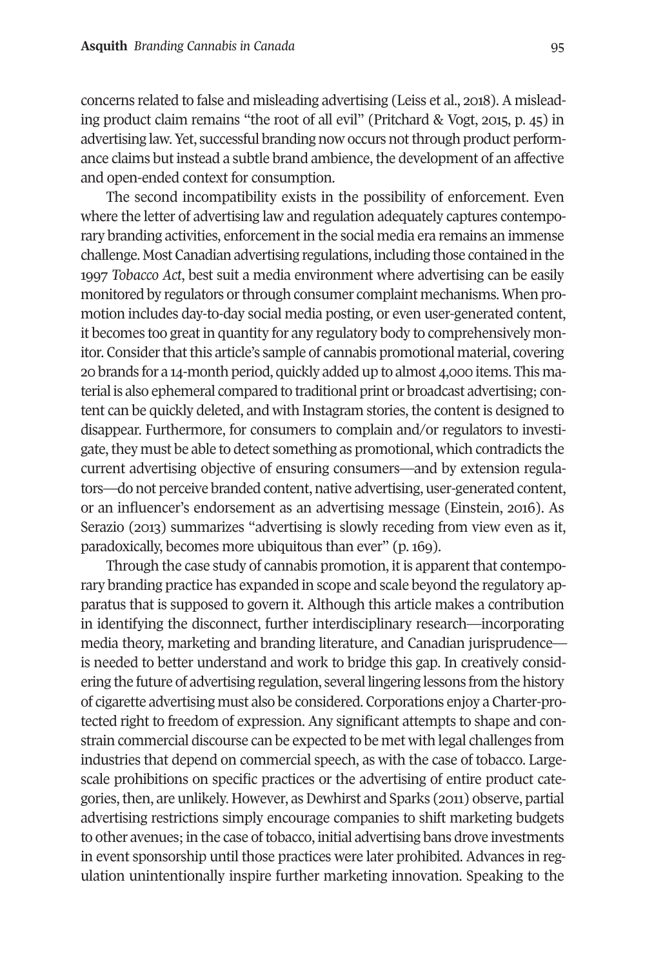concerns related to false and misleading advertising (Leiss et al., 2018). A misleading product claim remains "the root of all evil" (Pritchard & Vogt, 2015, p. 45) in advertising law. Yet, successful branding now occurs not through product performance claims but instead a subtle brand ambience, the development of an affective and open-ended context for consumption.

The second incompatibility exists in the possibility of enforcement. Even where the letter of advertising law and regulation adequately captures contemporary branding activities, enforcement in the social media era remains an immense challenge. Most Canadian advertising regulations, including those contained in the 1997 *Tobacco Act*, best suit a media environment where advertising can be easily monitored by regulators or through consumer complaint mechanisms. When promotion includes day-to-day social media posting, or even user-generated content, it becomes too great in quantity for any regulatory body to comprehensively monitor. Consider that this article's sample of cannabis promotional material, covering 20 brands for a 14-month period, quickly added up to almost 4,000 items. This material is also ephemeral compared to traditional print or broadcast advertising; content can be quickly deleted, and with Instagram stories, the content is designed to disappear. Furthermore, for consumers to complain and/or regulators to investigate, they must be able to detect something as promotional, which contradicts the current advertising objective of ensuring consumers—and by extension regulators—do not perceive branded content, native advertising, user-generated content, or an influencer's endorsement as an advertising message (Einstein, 2016). As Serazio (2013) summarizes "advertising is slowly receding from view even as it, paradoxically, becomes more ubiquitous than ever" (p. 169).

Through the case study of cannabis promotion, it is apparent that contemporary branding practice has expanded in scope and scale beyond the regulatory apparatus that is supposed to govern it. Although this article makes a contribution in identifying the disconnect, further interdisciplinary research—incorporating media theory, marketing and branding literature, and Canadian jurisprudence is needed to better understand and work to bridge this gap. In creatively considering the future of advertising regulation, several lingering lessons from the history of cigarette advertising must also be considered. Corporations enjoy a Charter-protected right to freedom of expression. Any significant attempts to shape and constrain commercial discourse can be expected to be met with legal challenges from industries that depend on commercial speech, as with the case of tobacco. Largescale prohibitions on specific practices or the advertising of entire product categories, then, are unlikely. However, as Dewhirst and Sparks (2011) observe, partial advertising restrictions simply encourage companies to shift marketing budgets to other avenues; in the case of tobacco, initial advertising bans drove investments in event sponsorship until those practices were later prohibited. Advances in regulation unintentionally inspire further marketing innovation. Speaking to the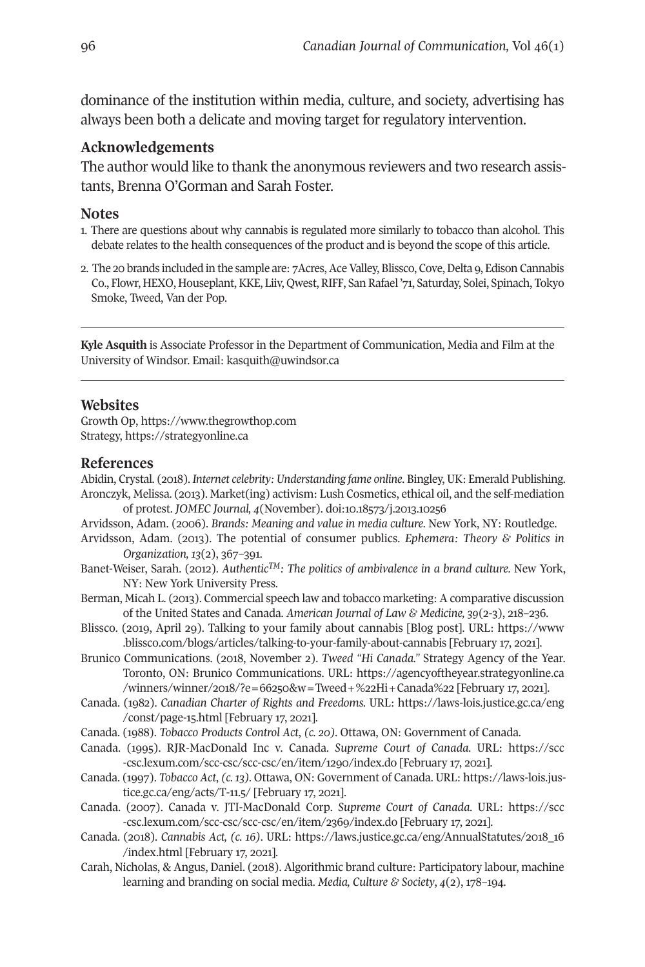<span id="page-17-0"></span>dominance of the institution within media, culture, and society, advertising has always been both a delicate and moving target for regulatory intervention.

### **Acknowledgements**

The author would like to thank the anonymous reviewers and two research assistants, Brenna O'Gorman and Sarah Foster.

#### **Notes**

- 1. There [are questions about why c](https://strategyonline.ca)annabis is regulated more similarly to tobacco than alcohol. This debate relates to the health consequences of the product and is beyond the scope of this article.
- 2. The 20 brands included in the sample are: 7Acres, Ace Valley, Blissco, Cove, Delta 9, Edison Cannabis Co., Flowr, HEXO, Houseplant, KKE, Liiv, Qwest, RIF[F, San Rafael '71, Saturd](https://doi.org/10.18573/j.2013.10256)ay, Solei, Spinach, Tokyo Smoke, Tweed, Van der Pop.

**Kyle Asquith** is Associate Professor in the Department of Communication, Media and Film at the University of Windsor. Email: kasquith@uwindsor.ca

#### **Websites**

Growth [Op, https://www.thegrowthop.com](https://www.blissco.com/blogs/articles/talking-to-your-family-about-cannabis) Strategy, https://strategyonline.ca

#### **References**

- Abidin, Crystal. (2018). *[Internet celebrity: Understanding fame online](https://agencyoftheyear.strategyonline.ca/winners/winner/2018/?e=66250&w=Tweed+%22Hi+Canada%22)*. Bingley, UK: Emerald Publishing. Aronczy[k, Melissa. \(2013\). Ma](https://laws-lois.justice.gc.ca/eng/const/page-15.html)rket(ing) activism: Lush Cosmetics[, ethical oil, and the self-mediation](https://laws-lois.justice.gc.ca/eng/const/page-15.html)  of protest. *JOMEC Journal, 4*(November). doi:10.18573/j.2013.10256
- Arvidsson, Adam. (2006). *Brands: Meaning and value in media culture*. New York, NY: Routledge.
- Arvidss[on, Adam. \(2013\). The potential of consumer publics.](https://scc-csc.lexum.com/scc-csc/scc-csc/en/item/1290/index.do) *Ephemera: Theory [& Politics in](https://scc-csc.lexum.com/scc-csc/scc-csc/en/item/1290/index.do)  Organization, 13(2), 367-391.*
- Banet-Weiser, Sarah. (2012). *AuthenticTM: The politics of ambivalence in a brand culture*[. New York,](https://laws-lois.justice.gc.ca/eng/acts/T-11.5/)  [NY: New York University P](https://laws-lois.justice.gc.ca/eng/acts/T-11.5/)ress.
- Berman[, Micah L. \(2013\). Commercial speech law and tobacco mar](https://scc-csc.lexum.com/scc-csc/scc-csc/en/item/2369/index.do)keting: A comparativ[e discussion](https://scc-csc.lexum.com/scc-csc/scc-csc/en/item/2369/index.do)  of the United States and Canada. *American Journal of Law & Medicine, 39*(2-3), 218–236.
- Blissco. (2019, April 29). Talking to your f[amily about cannabis \[Blog post\]. URL: https://www](https://laws.justice.gc.ca/eng/AnnualStatutes/2018_16/index.html )  [.blissco.com/](https://laws.justice.gc.ca/eng/AnnualStatutes/2018_16/index.html )blogs/articles/talking-to-your-family-about-cannabis [February 17, 2021].
- Brunico Communications. (2018, November 2). *Tweed "Hi Canada."* Strategy Agency of the Year*.* Toronto, ON: Brunico Communications. URL: https://agencyoftheyear.strategyonline.ca /winners/winner/2018/?e=66250&w=Tweed+%22Hi+Canada%22 [February 17, 2021].
- Canada. (1982). *Canadian Charter of Rights and Freedoms.* URL: https://laws-lois.justice.gc.ca/eng /const/page-15.html [February 17, 2021].
- Canada. (1988). *Tobacco Products Control Act*, *(c. 20).* Ottawa, ON: Government of Canada.
- Canada. (1995). RJR-MacDonald Inc v. Canada. *Supreme Court of Canada.* URL: https://scc -csc.lexum.com/scc-csc/scc-csc/en/item/1290/index.do [February 17, 2021].
- Canada. (1997). *Tobacco Act*, *(c. 13).* Ottawa, ON: Government of Canada. URL: https://laws-lois.justice.gc.ca/eng/acts/T-11.5/ [February 17, 2021].
- Canada. (2007). Canada v. JTI-MacDonald Corp. *Supreme Court of Canada.* URL: https://scc -csc.lexum.com/scc-csc/scc-csc/en/item/2369/index.do [February 17, 2021].
- Canada. (2018). *Cannabis Act, (c. 16)*. URL: https://laws.justice.gc.ca/eng/AnnualStatutes/2018\_16 /index.html [February 17, 2021].
- Carah, Nicholas, & Angus, Daniel. (2018). Algorithmic brand culture: Participatory labour, machine learning and branding on social media. *Media, Culture & Society*, *4*(2), 178–194.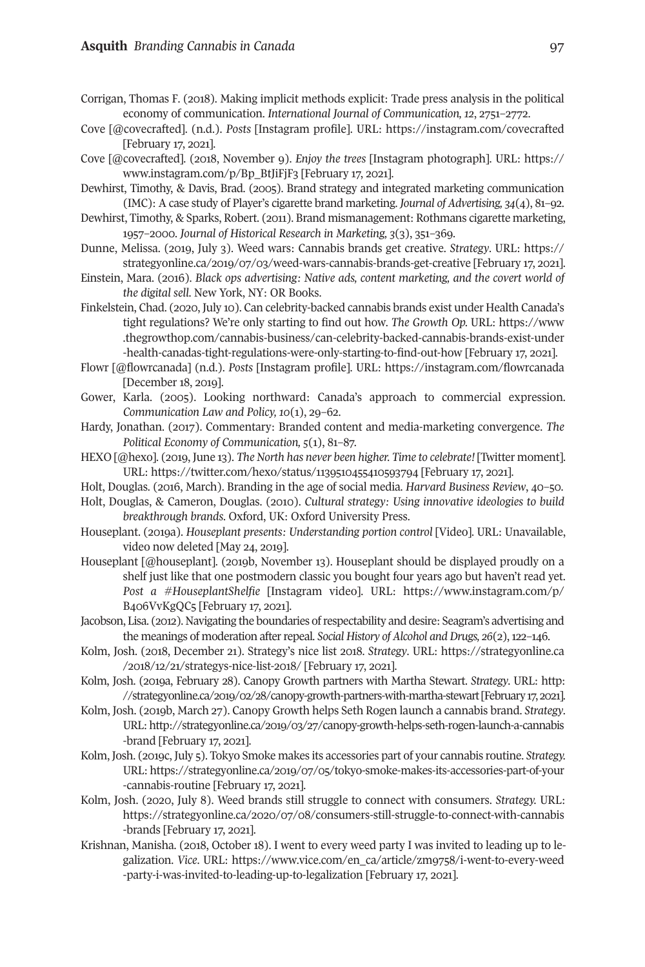#### **Asquith** *[Branding Cannabis in Canada](https://strategyonline.ca/2019/07/03/weed-wars-cannabis-brands-get-creative)* 97

- Corrigan, Thomas F. (2018). Making implicit methods explicit: Trade press analysis i[n the political](https://www.thegrowthop.com/cannabis-business/can-celebrity-backed-cannabis-brands-exist-under-health-canadas-tight-regulations-were-only-starting-to-find-out-how)  economy of communication. *International Journal of Communication, 12*, 2751–2772.
- Cove [@covecrafted]. (n.d.). *Posts* [\[Instagram profile\]. URL: https://instagram.com/covecrafted](https://www.thegrowthop.com/cannabis-business/can-celebrity-backed-cannabis-brands-exist-under-health-canadas-tight-regulations-were-only-starting-to-find-out-how)  [February 17, 2021].
- Cove [@covecrafted]. (2018, November 9). *Enjoy the trees* [I[nstagram photograph\]. URL: https://](https://instagram.com/flowrcanada )  www.instagram.com/p/Bp\_BtJiFjF3 [February 17, 2021].
- Dewhirst, Timothy, & Davis, Brad. (2005). Brand strategy and integrated marketing communication (IMC): A case study of Player's cigarette brand marketing. *Journal of Advertising, 34*(4), 81–92.
- Dewhirst, Timothy, & Sparks, Robert. (2011). Brand mismanagement: Rothmans cigarette marketing, 1957–2000. *Journal of Historical Research in Marketing, 3*(3), 351–369.
- Dunne, Melissa. (2019, July 3). Weed wars: Cannabis brands get creative. *Strategy*. URL: https:// strat[egyonline.ca/2019/07/03/weed-wars-cannabis-brands-g](https://twitter.com/hexo/status/1139510455410593794)et-creative [February 17, 2021].
- Einstein, Mara. (2016). *Black ops advertising: Native ads, content marketing, and the covert world of the digital sell*. New York, NY: OR Books.
- Finkelstein, Chad. (2020, July 10). Can celebrity-backed cannabis brands exist under Health Canada's tight regulations? We're only starting to find out how. *The Growth Op.* URL: https://www .thegrowthop.com/cannabis-business/can-celebrity-backed-cannabis-brands-exist-under -health-canadas-tight-regulations-were-only-starting-to-find-out-how [February 17, 2021].
- Flowr [@flowrcanada] (n.d.). *Posts* [Instagram profile]. URL: htt[ps://instagram.com/flowrcanada](https://www.instagram.com/p/B406VvKgQC5)  [December 18, 2019].
- Gower, [Karla. \(2005\).](https://www.instagram.com/p/B406VvKgQC5) Looking northward: Canada's approach to commercial expression. *Communication Law and Policy, 10*(1), 29–62.
- Hardy, Jonathan. (2017). Commentary: Branded content and media-ma[rketing convergence.](https://strategyonline.ca/2018/12/21/strategys-nice-list-2018) *Th[e](https://strategyonline.ca/2018/12/21/strategys-nice-list-2018)  [Political Economy of Communication](https://strategyonline.ca/2018/12/21/strategys-nice-list-2018), 5*(1), 81–87.
- HEXO [@hexo]. (2019, June 13). *The North has never been higher. Time to celebrate!* [Twitter mo[ment\].](http://strategyonline.ca/2019/02/28/canopy-growth-partners-with-martha-stewart)  URL: https://twitter.com/hexo/status/1139510455410593794 [February 17, 2021].
- Holt, Do[uglas. \(2016, March\). Branding in the age of social media.](http://strategyonline.ca/2019/02/28/canopy-growth-partners-with-martha-stewart) *Harvard Business Review*, 40–50.
- Holt, Douglas, & Cameron, Douglas. (2010). *Cultural strategy: Using innovative ideologies to buil[d](http://strategyonline.ca/2019/03/27/canopy-growth-helps-seth-rogen-launch-a-cannabis-brand)  breakthrough brands*[. Oxford, UK: Oxford University Press.](http://strategyonline.ca/2019/03/27/canopy-growth-helps-seth-rogen-launch-a-cannabis-brand)
- Housepl[ant. \(20](http://strategyonline.ca/2019/03/27/canopy-growth-helps-seth-rogen-launch-a-cannabis-brand)19a). *Houseplant presents: Understanding portion control* [Video]. URL: Unavailable, video now deleted [May 24, 2019].
- Houseplant [[@houseplant\]. \(2019b, November 13\). Houseplant should be displayed proudly on a](https://strategyonline.ca/2019/07/05/tokyo-smoke-makes-its-accessories-part-of-your-cannabis-routine)  [shelf just like that](https://strategyonline.ca/2019/07/05/tokyo-smoke-makes-its-accessories-part-of-your-cannabis-routine) one postmodern classic you bought four years ago but haven't read yet. *Post a #HouseplantShelfie* [\[Instagram video\]. URL: https://www.instagram.com/p/](https://strategyonline.ca/2020/07/08/consumers-still-struggle-to-connect-with-cannabis-brands)  B406VvKgQC5 [February 17, 2021].
- Jacobso[n, Lisa. \(20](https://strategyonline.ca/2020/07/08/consumers-still-struggle-to-connect-with-cannabis-brands)12). Navigating the boundaries of respectability and desire: Seagram's advertising and the meanings of moderation after repeal. *Social History of Alcohol and Drugs, 26*(2), 122–146.
- Kolm, Josh. (2018, December 21). Strategy's nice list 2018. *Strategy*[. URL: https://strategyonline.ca](https://www.vice.com/en_ca/article/zm9758/i-went-to-every-weed-party-i-was-invited-to-leading-up-to-legalization)  [/2018/12/21/strategys-nice-list-2018/ \[February 17,](https://www.vice.com/en_ca/article/zm9758/i-went-to-every-weed-party-i-was-invited-to-leading-up-to-legalization) 2021].
- Kolm, Josh. (2019a, February 28). Canopy Growth partners with Martha Stewart. *Strategy*. URL: http: //strategyonline.ca/2019/02/28/canopy-growth-partners-with-martha-stewart [February 17, 2021].
- Kolm, Josh. (2019b, March 27). Canopy Growth helps Seth Rogen launch a cannabis brand. *Strategy*. URL: http://strategyonline.ca/2019/03/27/canopy-growth-helps-seth-rogen-launch-a-cannabis -brand [February 17, 2021].
- Kolm, Josh. (2019c, July 5). Tokyo Smoke makes its accessories part of your cannabis routine. *Strategy.*  URL: https://strategyonline.ca/2019/07/05/tokyo-smoke-makes-its-accessories-part-of-your -cannabis-routine [February 17, 2021].
- Kolm, Josh. (2020, July 8). Weed brands still struggle to connect with consumers. *Strategy.* URL: https://strategyonline.ca/2020/07/08/consumers-still-struggle-to-connect-with-cannabis -brands [February 17, 2021].
- Krishnan, Manisha. (2018, October 18). I went to every weed party I was invited to leading up to legalization. *Vice*. URL: https://www.vice.com/en\_ca/article/zm9758/i-went-to-every-weed -party-i-was-invited-to-leading-up-to-legalization [February 17, 2021].